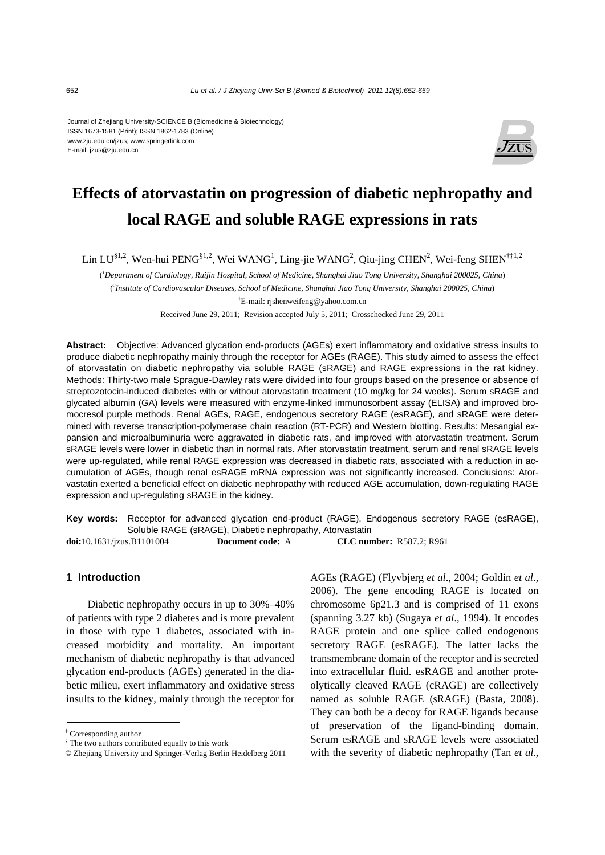#### Journal of Zhejiang University-SCIENCE B (Biomedicine & Biotechnology) ISSN 1673-1581 (Print); ISSN 1862-1783 (Online) www.zju.edu.cn/jzus; www.springerlink.com E-mail: jzus@zju.edu.cn



# **Effects of atorvastatin on progression of diabetic nephropathy and local RAGE and soluble RAGE expressions in rats**

Lin LU<sup>§1,2</sup>, Wen-hui PENG<sup>§1,2</sup>, Wei WANG<sup>1</sup>, Ling-jie WANG<sup>2</sup>, Qiu-jing CHEN<sup>2</sup>, Wei-feng SHEN<sup>†‡1,2</sup>

( *1 Department of Cardiology, Ruijin Hospital, School of Medicine, Shanghai Jiao Tong University, Shanghai 200025, China*) ( *2 Institute of Cardiovascular Diseases, School of Medicine, Shanghai Jiao Tong University, Shanghai 200025, China*) † E-mail: rjshenweifeng@yahoo.com.cn

Received June 29, 2011; Revision accepted July 5, 2011; Crosschecked June 29, 2011

**Abstract:** Objective: Advanced glycation end-products (AGEs) exert inflammatory and oxidative stress insults to produce diabetic nephropathy mainly through the receptor for AGEs (RAGE). This study aimed to assess the effect of atorvastatin on diabetic nephropathy via soluble RAGE (sRAGE) and RAGE expressions in the rat kidney. Methods: Thirty-two male Sprague-Dawley rats were divided into four groups based on the presence or absence of streptozotocin-induced diabetes with or without atorvastatin treatment (10 mg/kg for 24 weeks). Serum sRAGE and glycated albumin (GA) levels were measured with enzyme-linked immunosorbent assay (ELISA) and improved bromocresol purple methods. Renal AGEs, RAGE, endogenous secretory RAGE (esRAGE), and sRAGE were determined with reverse transcription-polymerase chain reaction (RT-PCR) and Western blotting. Results: Mesangial expansion and microalbuminuria were aggravated in diabetic rats, and improved with atorvastatin treatment. Serum sRAGE levels were lower in diabetic than in normal rats. After atorvastatin treatment, serum and renal sRAGE levels were up-regulated, while renal RAGE expression was decreased in diabetic rats, associated with a reduction in accumulation of AGEs, though renal esRAGE mRNA expression was not significantly increased. Conclusions: Atorvastatin exerted a beneficial effect on diabetic nephropathy with reduced AGE accumulation, down-regulating RAGE expression and up-regulating sRAGE in the kidney.

**Key words:** Receptor for advanced glycation end-product (RAGE), Endogenous secretory RAGE (esRAGE), Soluble RAGE (sRAGE), Diabetic nephropathy, Atorvastatin

**doi:**10.1631/jzus.B1101004 **Document code:** A **CLC number:** R587.2; R961

# **1 Introduction**

Diabetic nephropathy occurs in up to 30%–40% of patients with type 2 diabetes and is more prevalent in those with type 1 diabetes, associated with increased morbidity and mortality. An important mechanism of diabetic nephropathy is that advanced glycation end-products (AGEs) generated in the diabetic milieu, exert inflammatory and oxidative stress insults to the kidney, mainly through the receptor for AGEs (RAGE) (Flyvbjerg *et al*., 2004; Goldin *et al*., 2006). The gene encoding RAGE is located on chromosome 6p21.3 and is comprised of 11 exons (spanning 3.27 kb) (Sugaya *et al*., 1994). It encodes RAGE protein and one splice called endogenous secretory RAGE (esRAGE). The latter lacks the transmembrane domain of the receptor and is secreted into extracellular fluid. esRAGE and another proteolytically cleaved RAGE (cRAGE) are collectively named as soluble RAGE (sRAGE) (Basta, 2008). They can both be a decoy for RAGE ligands because of preservation of the ligand-binding domain. Serum esRAGE and sRAGE levels were associated with the severity of diabetic nephropathy (Tan *et al*.,

<sup>‡</sup> Corresponding author

<sup>§</sup> The two authors contributed equally to this work

<sup>©</sup> Zhejiang University and Springer-Verlag Berlin Heidelberg 2011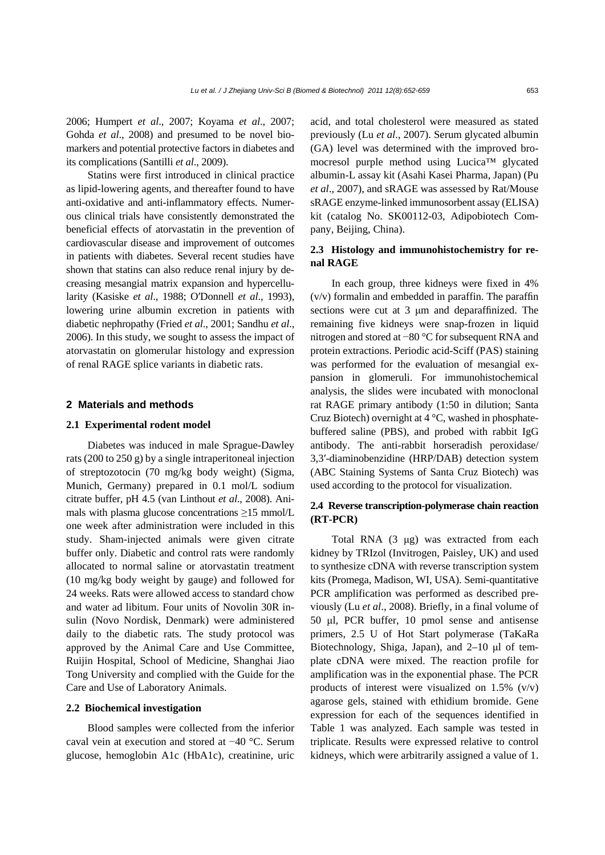2006; Humpert *et al*., 2007; Koyama *et al*., 2007; Gohda *et al*., 2008) and presumed to be novel biomarkers and potential protective factors in diabetes and its complications (Santilli *et al*., 2009).

Statins were first introduced in clinical practice as lipid-lowering agents, and thereafter found to have anti-oxidative and anti-inflammatory effects. Numerous clinical trials have consistently demonstrated the beneficial effects of atorvastatin in the prevention of cardiovascular disease and improvement of outcomes in patients with diabetes. Several recent studies have shown that statins can also reduce renal injury by decreasing mesangial matrix expansion and hypercellularity (Kasiske *et al*., 1988; O′Donnell *et al*., 1993), lowering urine albumin excretion in patients with diabetic nephropathy (Fried *et al*., 2001; Sandhu *et al*., 2006). In this study, we sought to assess the impact of atorvastatin on glomerular histology and expression of renal RAGE splice variants in diabetic rats.

### **2 Materials and methods**

#### **2.1 Experimental rodent model**

Diabetes was induced in male Sprague-Dawley rats (200 to 250 g) by a single intraperitoneal injection of streptozotocin (70 mg/kg body weight) (Sigma, Munich, Germany) prepared in 0.1 mol/L sodium citrate buffer, pH 4.5 (van Linthout *et al*., 2008). Animals with plasma glucose concentrations  $\geq$ 15 mmol/L one week after administration were included in this study. Sham-injected animals were given citrate buffer only. Diabetic and control rats were randomly allocated to normal saline or atorvastatin treatment (10 mg/kg body weight by gauge) and followed for 24 weeks. Rats were allowed access to standard chow and water ad libitum. Four units of Novolin 30R insulin (Novo Nordisk, Denmark) were administered daily to the diabetic rats. The study protocol was approved by the Animal Care and Use Committee, Ruijin Hospital, School of Medicine, Shanghai Jiao Tong University and complied with the Guide for the Care and Use of Laboratory Animals.

#### **2.2 Biochemical investigation**

Blood samples were collected from the inferior caval vein at execution and stored at −40 °C. Serum glucose, hemoglobin A1c (HbA1c), creatinine, uric acid, and total cholesterol were measured as stated previously (Lu *et al*., 2007). Serum glycated albumin (GA) level was determined with the improved bromocresol purple method using Lucica™ glycated albumin-L assay kit (Asahi Kasei Pharma, Japan) (Pu *et al*., 2007), and sRAGE was assessed by Rat/Mouse sRAGE enzyme-linked immunosorbent assay (ELISA) kit (catalog No. SK00112-03, Adipobiotech Company, Beijing, China).

## **2.3 Histology and immunohistochemistry for renal RAGE**

In each group, three kidneys were fixed in 4% (v/v) formalin and embedded in paraffin. The paraffin sections were cut at 3 μm and deparaffinized. The remaining five kidneys were snap-frozen in liquid nitrogen and stored at −80 °C for subsequent RNA and protein extractions. Periodic acid-Sciff (PAS) staining was performed for the evaluation of mesangial expansion in glomeruli. For immunohistochemical analysis, the slides were incubated with monoclonal rat RAGE primary antibody (1:50 in dilution; Santa Cruz Biotech) overnight at  $4^{\circ}$ C, washed in phosphatebuffered saline (PBS), and probed with rabbit IgG antibody. The anti-rabbit horseradish peroxidase/ 3,3′-diaminobenzidine (HRP/DAB) detection system (ABC Staining Systems of Santa Cruz Biotech) was used according to the protocol for visualization.

# **2.4 Reverse transcription-polymerase chain reaction (RT-PCR)**

Total RNA (3 μg) was extracted from each kidney by TRIzol (Invitrogen, Paisley, UK) and used to synthesize cDNA with reverse transcription system kits (Promega, Madison, WI, USA). Semi-quantitative PCR amplification was performed as described previously (Lu *et al*., 2008). Briefly, in a final volume of 50 μl, PCR buffer, 10 pmol sense and antisense primers, 2.5 U of Hot Start polymerase (TaKaRa Biotechnology, Shiga, Japan), and 2–10 μl of template cDNA were mixed. The reaction profile for amplification was in the exponential phase. The PCR products of interest were visualized on  $1.5\%$  (v/v) agarose gels, stained with ethidium bromide. Gene expression for each of the sequences identified in Table 1 was analyzed. Each sample was tested in triplicate. Results were expressed relative to control kidneys, which were arbitrarily assigned a value of 1.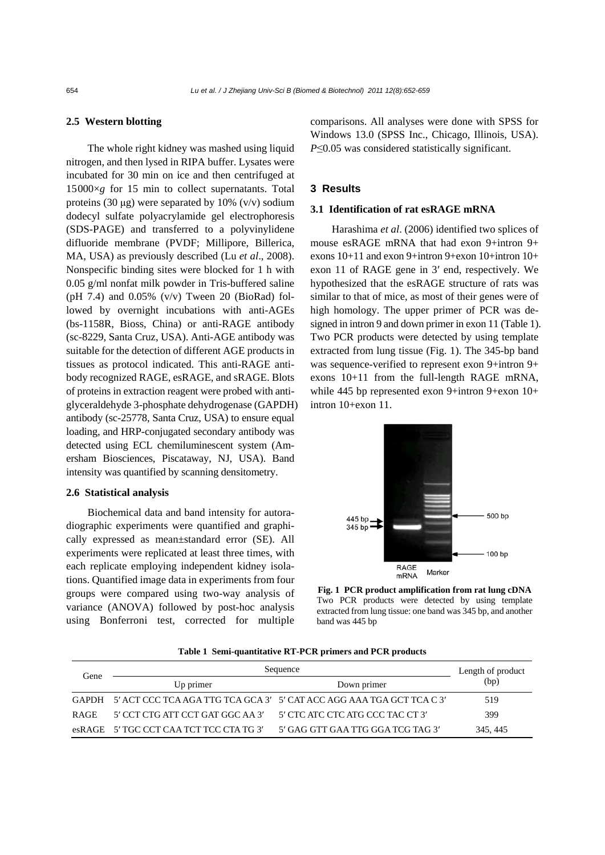## **2.5 Western blotting**

The whole right kidney was mashed using liquid nitrogen, and then lysed in RIPA buffer. Lysates were incubated for 30 min on ice and then centrifuged at 15000×*g* for 15 min to collect supernatants. Total proteins (30  $\mu$ g) were separated by 10% (v/v) sodium dodecyl sulfate polyacrylamide gel electrophoresis (SDS-PAGE) and transferred to a polyvinylidene difluoride membrane (PVDF; Millipore, Billerica, MA, USA) as previously described (Lu *et al*., 2008). Nonspecific binding sites were blocked for 1 h with 0.05 g/ml nonfat milk powder in Tris-buffered saline (pH 7.4) and  $0.05\%$  (v/v) Tween 20 (BioRad) followed by overnight incubations with anti-AGEs (bs-1158R, Bioss, China) or anti-RAGE antibody (sc-8229, Santa Cruz, USA). Anti-AGE antibody was suitable for the detection of different AGE products in tissues as protocol indicated. This anti-RAGE antibody recognized RAGE, esRAGE, and sRAGE. Blots of proteins in extraction reagent were probed with antiglyceraldehyde 3-phosphate dehydrogenase (GAPDH) antibody (sc-25778, Santa Cruz, USA) to ensure equal loading, and HRP-conjugated secondary antibody was detected using ECL chemiluminescent system (Amersham Biosciences, Piscataway, NJ, USA). Band intensity was quantified by scanning densitometry.

#### **2.6 Statistical analysis**

Biochemical data and band intensity for autoradiographic experiments were quantified and graphically expressed as mean±standard error (SE). All experiments were replicated at least three times, with each replicate employing independent kidney isolations. Quantified image data in experiments from four groups were compared using two-way analysis of variance (ANOVA) followed by post-hoc analysis using Bonferroni test, corrected for multiple comparisons. All analyses were done with SPSS for Windows 13.0 (SPSS Inc., Chicago, Illinois, USA). *P*≤0.05 was considered statistically significant.

## **3 Results**

## **3.1 Identification of rat esRAGE mRNA**

Harashima *et al*. (2006) identified two splices of mouse esRAGE mRNA that had exon 9+intron 9+ exons 10+11 and exon 9+intron 9+exon 10+intron 10+ exon 11 of RAGE gene in 3′ end, respectively. We hypothesized that the esRAGE structure of rats was similar to that of mice, as most of their genes were of high homology. The upper primer of PCR was designed in intron 9 and down primer in exon 11 (Table 1). Two PCR products were detected by using template extracted from lung tissue (Fig. 1). The 345-bp band was sequence-verified to represent exon 9+intron 9+ exons 10+11 from the full-length RAGE mRNA, while 445 bp represented exon 9+intron 9+exon 10+ intron 10+exon 11.



**Fig. 1 PCR product amplification from rat lung cDNA** Two PCR products were detected by using template extracted from lung tissue: one band was 345 bp, and another band was 445 bp

|  |  | Table 1 Semi-quantitative RT-PCR primers and PCR products |  |
|--|--|-----------------------------------------------------------|--|
|  |  |                                                           |  |

| Gene        | Sequence                                | Length of product                                                           |          |
|-------------|-----------------------------------------|-----------------------------------------------------------------------------|----------|
|             | Up primer                               | Down primer                                                                 | (bp)     |
|             |                                         | GAPDH 5' ACT CCC TCA AGA TTG TCA GCA 3' 5' CAT ACC AGG AAA TGA GCT TCA C 3' | 519      |
| <b>RAGE</b> | - 5' CCT CTG ATT CCT GAT GGC AA 3'      | - 5' CTC ATC CTC ATG CCC TAC CT 3'                                          | 399      |
|             | esRAGE 5' TGC CCT CAA TCT TCC CTA TG 3' | 5' GAG GTT GAA TTG GGA TCG TAG 3'                                           | 345, 445 |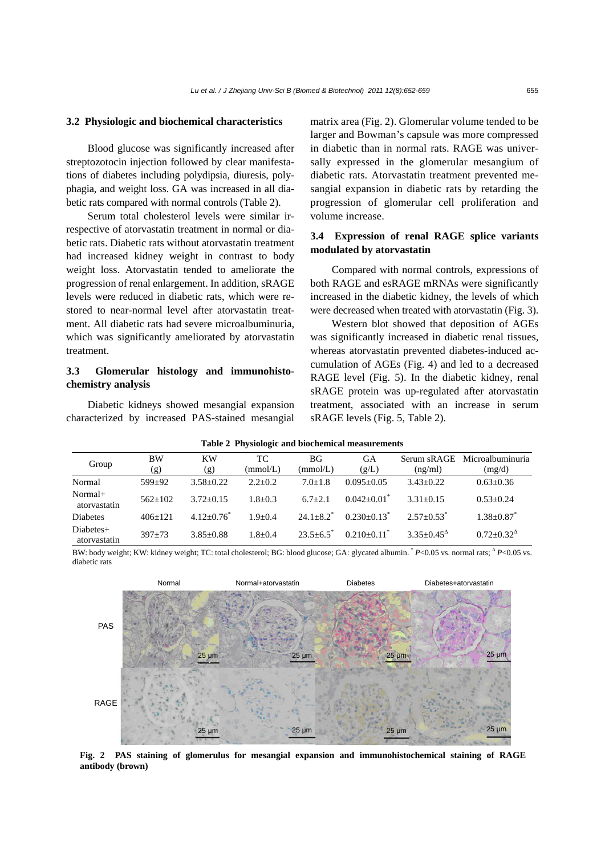#### **3.2 Physiologic and biochemical characteristics**

Blood glucose was significantly increased after streptozotocin injection followed by clear manifestations of diabetes including polydipsia, diuresis, polyphagia, and weight loss. GA was increased in all diabetic rats compared with normal controls (Table 2).

Serum total cholesterol levels were similar irrespective of atorvastatin treatment in normal or diabetic rats. Diabetic rats without atorvastatin treatment had increased kidney weight in contrast to body weight loss. Atorvastatin tended to ameliorate the progression of renal enlargement. In addition, sRAGE levels were reduced in diabetic rats, which were restored to near-normal level after atorvastatin treatment. All diabetic rats had severe microalbuminuria, which was significantly ameliorated by atorvastatin treatment.

# **3.3 Glomerular histology and immunohistochemistry analysis**

Diabetic kidneys showed mesangial expansion characterized by increased PAS-stained mesangial

matrix area (Fig. 2). Glomerular volume tended to be larger and Bowman's capsule was more compressed in diabetic than in normal rats. RAGE was universally expressed in the glomerular mesangium of diabetic rats. Atorvastatin treatment prevented mesangial expansion in diabetic rats by retarding the progression of glomerular cell proliferation and volume increase.

# **3.4 Expression of renal RAGE splice variants modulated by atorvastatin**

Compared with normal controls, expressions of both RAGE and esRAGE mRNAs were significantly increased in the diabetic kidney, the levels of which were decreased when treated with atorvastatin (Fig. 3).

Western blot showed that deposition of AGEs was significantly increased in diabetic renal tissues, whereas atorvastatin prevented diabetes-induced accumulation of AGEs (Fig. 4) and led to a decreased RAGE level (Fig. 5). In the diabetic kidney, renal sRAGE protein was up-regulated after atorvastatin treatment, associated with an increase in serum sRAGE levels (Fig. 5, Table 2).

| Group                     | BW<br>$\left( \mathbf{g}\right)$ | <b>KW</b><br>(g) | TC<br>(mmol/L) | BG<br>(mmol/L) | GА<br>(g/L)               | Serum sRAGE<br>(ng/ml)   | Microalbuminuria<br>(mg/d) |
|---------------------------|----------------------------------|------------------|----------------|----------------|---------------------------|--------------------------|----------------------------|
| Normal                    | $599+92$                         | $3.58 + 0.22$    | $2.2+0.2$      | $7.0 + 1.8$    | $0.095 + 0.05$            | $3.43 + 0.22$            | $0.63 + 0.36$              |
| Normal+<br>atorvastatin   | $562+102$                        | $3.72 + 0.15$    | $1.8 + 0.3$    | $6.7 + 2.1$    | $0.042 + 0.01$            | $3.31 + 0.15$            | $0.53+0.24$                |
| Diabetes                  | $406+121$                        | $4.12 + 0.76^*$  | $1.9 + 0.4$    | $24.1 + 8.2^*$ | $0.230+0.13^*$            | $2.57+0.53$ <sup>*</sup> | $1.38 + 0.87$ <sup>*</sup> |
| Diabetes+<br>atorvastatin | $397 + 73$                       | $3.85 + 0.88$    | $1.8 + 0.4$    | $23.5 + 6.5$   | $0.210+0.11$ <sup>*</sup> | $3.35 + 0.45^{\circ}$    | $0.72 + 0.32^{\Delta}$     |

**Table 2 Physiologic and biochemical measurements** 

BW: body weight; KW: kidney weight; TC: total cholesterol; BG: blood glucose; GA: glycated albumin. <sup>\*</sup> *P*<0.05 vs. normal rats; <sup>∆</sup> *P*<0.05 vs. diabetic rats



**Fig. 2 PAS staining of glomerulus for mesangial expansion and immunohistochemical staining of RAGE antibody (brown)**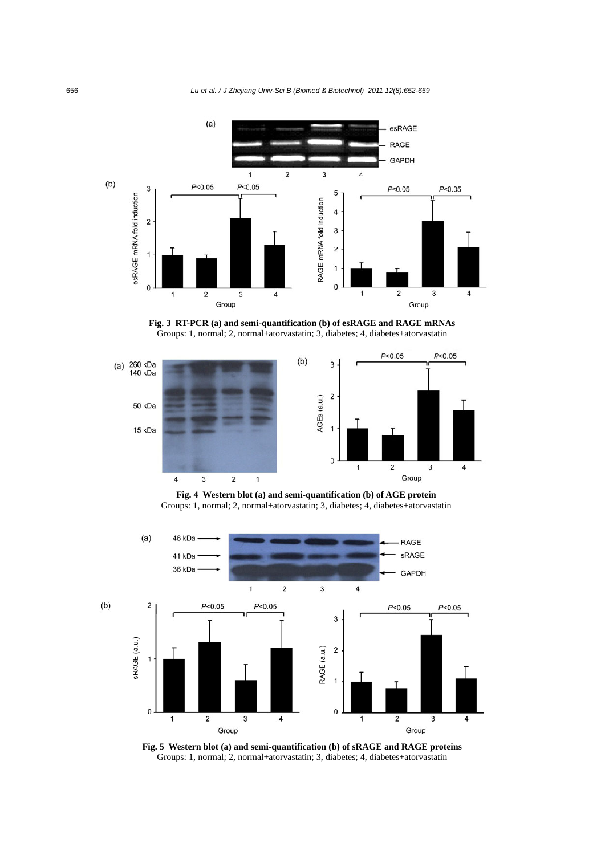

**Fig. 3 RT-PCR (a) and semi-quantification (b) of esRAGE and RAGE mRNAs**  Groups: 1, normal; 2, normal+atorvastatin; 3, diabetes; 4, diabetes+atorvastatin



**Fig. 4 Western blot (a) and semi-quantification (b) of AGE protein**  Groups: 1, normal; 2, normal+atorvastatin; 3, diabetes; 4, diabetes+atorvastatin



**Fig. 5 Western blot (a) and semi-quantification (b) of sRAGE and RAGE proteins**  Groups: 1, normal; 2, normal+atorvastatin; 3, diabetes; 4, diabetes+atorvastatin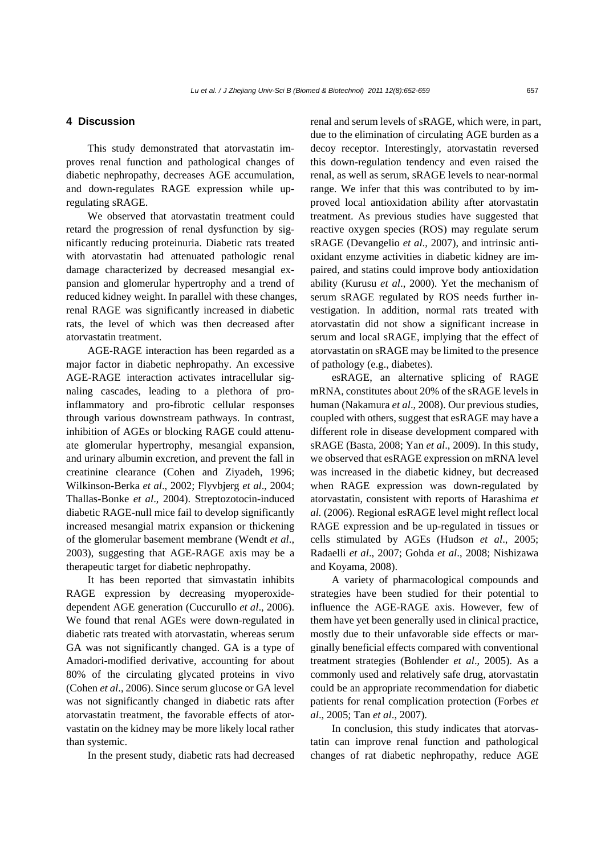#### *Lu et al. / J Zhejiang Univ-Sci B (Biomed & Biotechnol) 2011 12(8):652-659* 657

## **4 Discussion**

This study demonstrated that atorvastatin improves renal function and pathological changes of diabetic nephropathy, decreases AGE accumulation, and down-regulates RAGE expression while upregulating sRAGE.

We observed that atorvastatin treatment could retard the progression of renal dysfunction by significantly reducing proteinuria. Diabetic rats treated with atorvastatin had attenuated pathologic renal damage characterized by decreased mesangial expansion and glomerular hypertrophy and a trend of reduced kidney weight. In parallel with these changes, renal RAGE was significantly increased in diabetic rats, the level of which was then decreased after atorvastatin treatment.

AGE-RAGE interaction has been regarded as a major factor in diabetic nephropathy. An excessive AGE-RAGE interaction activates intracellular signaling cascades, leading to a plethora of proinflammatory and pro-fibrotic cellular responses through various downstream pathways. In contrast, inhibition of AGEs or blocking RAGE could attenuate glomerular hypertrophy, mesangial expansion, and urinary albumin excretion, and prevent the fall in creatinine clearance (Cohen and Ziyadeh, 1996; Wilkinson-Berka *et al*., 2002; Flyvbjerg *et al*., 2004; Thallas-Bonke *et al*., 2004). Streptozotocin-induced diabetic RAGE-null mice fail to develop significantly increased mesangial matrix expansion or thickening of the glomerular basement membrane (Wendt *et al*., 2003), suggesting that AGE-RAGE axis may be a therapeutic target for diabetic nephropathy.

It has been reported that simvastatin inhibits RAGE expression by decreasing myoperoxidedependent AGE generation (Cuccurullo *et al*., 2006). We found that renal AGEs were down-regulated in diabetic rats treated with atorvastatin, whereas serum GA was not significantly changed. GA is a type of Amadori-modified derivative, accounting for about 80% of the circulating glycated proteins in vivo (Cohen *et al*., 2006). Since serum glucose or GA level was not significantly changed in diabetic rats after atorvastatin treatment, the favorable effects of atorvastatin on the kidney may be more likely local rather than systemic.

In the present study, diabetic rats had decreased

renal and serum levels of sRAGE, which were, in part, due to the elimination of circulating AGE burden as a decoy receptor. Interestingly, atorvastatin reversed this down-regulation tendency and even raised the renal, as well as serum, sRAGE levels to near-normal range. We infer that this was contributed to by improved local antioxidation ability after atorvastatin treatment. As previous studies have suggested that reactive oxygen species (ROS) may regulate serum sRAGE (Devangelio *et al*., 2007), and intrinsic antioxidant enzyme activities in diabetic kidney are impaired, and statins could improve body antioxidation ability (Kurusu *et al*., 2000). Yet the mechanism of serum sRAGE regulated by ROS needs further investigation. In addition, normal rats treated with atorvastatin did not show a significant increase in serum and local sRAGE, implying that the effect of atorvastatin on sRAGE may be limited to the presence of pathology (e.g., diabetes).

esRAGE, an alternative splicing of RAGE mRNA, constitutes about 20% of the sRAGE levels in human (Nakamura *et al*., 2008). Our previous studies, coupled with others, suggest that esRAGE may have a different role in disease development compared with sRAGE (Basta, 2008; Yan *et al*., 2009). In this study, we observed that esRAGE expression on mRNA level was increased in the diabetic kidney, but decreased when RAGE expression was down-regulated by atorvastatin, consistent with reports of Harashima *et al.* (2006). Regional esRAGE level might reflect local RAGE expression and be up-regulated in tissues or cells stimulated by AGEs (Hudson *et al*., 2005; Radaelli *et al*., 2007; Gohda *et al*., 2008; Nishizawa and Koyama, 2008).

A variety of pharmacological compounds and strategies have been studied for their potential to influence the AGE-RAGE axis. However, few of them have yet been generally used in clinical practice, mostly due to their unfavorable side effects or marginally beneficial effects compared with conventional treatment strategies (Bohlender *et al*., 2005). As a commonly used and relatively safe drug, atorvastatin could be an appropriate recommendation for diabetic patients for renal complication protection (Forbes *et al*., 2005; Tan *et al*., 2007).

In conclusion, this study indicates that atorvastatin can improve renal function and pathological changes of rat diabetic nephropathy, reduce AGE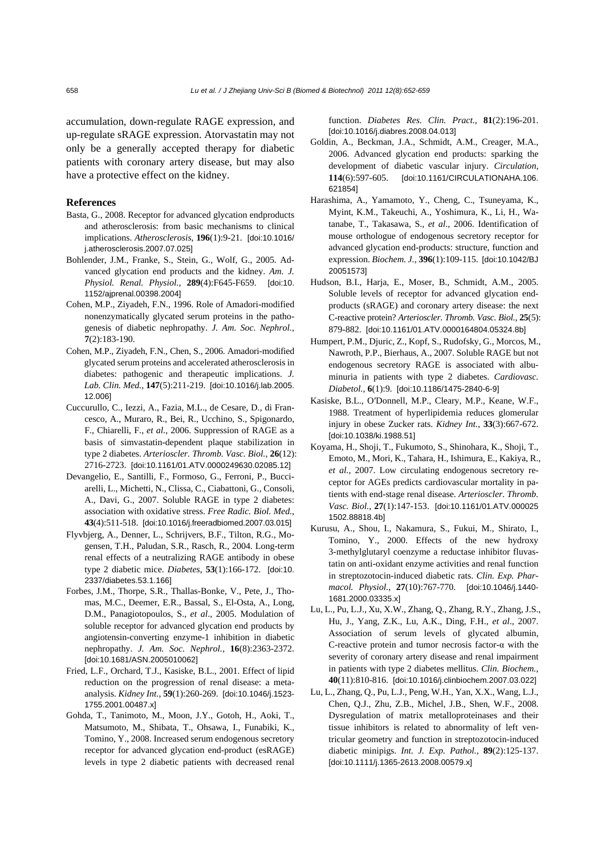accumulation, down-regulate RAGE expression, and up-regulate sRAGE expression. Atorvastatin may not only be a generally accepted therapy for diabetic patients with coronary artery disease, but may also have a protective effect on the kidney.

### **References**

- Basta, G., 2008. Receptor for advanced glycation endproducts and atherosclerosis: from basic mechanisms to clinical implications. *Atherosclerosis*, **196**(1):9-21. [doi:10.1016/ j.atherosclerosis.2007.07.025]
- Bohlender, J.M., Franke, S., Stein, G., Wolf, G., 2005. Advanced glycation end products and the kidney. *Am. J. Physiol. Renal. Physiol.*, **289**(4):F645-F659. [doi:10. 1152/ajprenal.00398.2004]
- Cohen, M.P., Ziyadeh, F.N., 1996. Role of Amadori-modified nonenzymatically glycated serum proteins in the pathogenesis of diabetic nephropathy. *J. Am. Soc. Nephrol.*, **7**(2):183-190.
- Cohen, M.P., Ziyadeh, F.N., Chen, S., 2006. Amadori-modified glycated serum proteins and accelerated atherosclerosis in diabetes: pathogenic and therapeutic implications. *J. Lab. Clin. Med.*, **147**(5):211-219. [doi:10.1016/j.lab.2005. 12.006]
- Cuccurullo, C., Iezzi, A., Fazia, M.L., de Cesare, D., di Francesco, A., Muraro, R., Bei, R., Ucchino, S., Spigonardo, F., Chiarelli, F., *et al*., 2006. Suppression of RAGE as a basis of simvastatin-dependent plaque stabilization in type 2 diabetes. *Arterioscler. Thromb. Vasc. Biol.*, **26**(12): 2716-2723. [doi:10.1161/01.ATV.0000249630.02085.12]
- Devangelio, E., Santilli, F., Formoso, G., Ferroni, P., Bucciarelli, L., Michetti, N., Clissa, C., Ciabattoni, G., Consoli, A., Davi, G., 2007. Soluble RAGE in type 2 diabetes: association with oxidative stress. *Free Radic. Biol. Med.*, **43**(4):511-518. [doi:10.1016/j.freeradbiomed.2007.03.015]
- Flyvbjerg, A., Denner, L., Schrijvers, B.F., Tilton, R.G., Mogensen, T.H., Paludan, S.R., Rasch, R., 2004. Long-term renal effects of a neutralizing RAGE antibody in obese type 2 diabetic mice. *Diabetes*, **53**(1):166-172. [doi:10. 2337/diabetes.53.1.166]
- Forbes, J.M., Thorpe, S.R., Thallas-Bonke, V., Pete, J., Thomas, M.C., Deemer, E.R., Bassal, S., El-Osta, A., Long, D.M., Panagiotopoulos, S., *et al*., 2005. Modulation of soluble receptor for advanced glycation end products by angiotensin-converting enzyme-1 inhibition in diabetic nephropathy. *J. Am. Soc. Nephrol.*, **16**(8):2363-2372. [doi:10.1681/ASN.2005010062]
- Fried, L.F., Orchard, T.J., Kasiske, B.L., 2001. Effect of lipid reduction on the progression of renal disease: a metaanalysis. *Kidney Int.*, **59**(1):260-269. [doi:10.1046/j.1523- 1755.2001.00487.x]
- Gohda, T., Tanimoto, M., Moon, J.Y., Gotoh, H., Aoki, T., Matsumoto, M., Shibata, T., Ohsawa, I., Funabiki, K., Tomino, Y., 2008. Increased serum endogenous secretory receptor for advanced glycation end-product (esRAGE) levels in type 2 diabetic patients with decreased renal

function. *Diabetes Res. Clin. Pract.*, **81**(2):196-201. [doi:10.1016/j.diabres.2008.04.013]

- Goldin, A., Beckman, J.A., Schmidt, A.M., Creager, M.A., 2006. Advanced glycation end products: sparking the development of diabetic vascular injury. *Circulation*, **114**(6):597-605. [doi:10.1161/CIRCULATIONAHA.106. 621854]
- Harashima, A., Yamamoto, Y., Cheng, C., Tsuneyama, K., Myint, K.M., Takeuchi, A., Yoshimura, K., Li, H., Watanabe, T., Takasawa, S., *et al*., 2006. Identification of mouse orthologue of endogenous secretory receptor for advanced glycation end-products: structure, function and expression. *Biochem. J.*, **396**(1):109-115. [doi:10.1042/BJ 20051573]
- Hudson, B.I., Harja, E., Moser, B., Schmidt, A.M., 2005. Soluble levels of receptor for advanced glycation endproducts (sRAGE) and coronary artery disease: the next C-reactive protein? *Arterioscler. Thromb. Vasc. Biol.*, **25**(5): 879-882. [doi:10.1161/01.ATV.0000164804.05324.8b]
- Humpert, P.M., Djuric, Z., Kopf, S., Rudofsky, G., Morcos, M., Nawroth, P.P., Bierhaus, A., 2007. Soluble RAGE but not endogenous secretory RAGE is associated with albuminuria in patients with type 2 diabetes. *Cardiovasc. Diabetol.*, **6**(1):9. [doi:10.1186/1475-2840-6-9]
- Kasiske, B.L., O′Donnell, M.P., Cleary, M.P., Keane, W.F., 1988. Treatment of hyperlipidemia reduces glomerular injury in obese Zucker rats. *Kidney Int.*, **33**(3):667-672. [doi:10.1038/ki.1988.51]
- Koyama, H., Shoji, T., Fukumoto, S., Shinohara, K., Shoji, T., Emoto, M., Mori, K., Tahara, H., Ishimura, E., Kakiya, R., *et al.*, 2007. Low circulating endogenous secretory receptor for AGEs predicts cardiovascular mortality in patients with end-stage renal disease. *Arterioscler. Thromb. Vasc. Biol.*, **27**(1):147-153. [doi:10.1161/01.ATV.000025 1502.88818.4b]
- Kurusu, A., Shou, I., Nakamura, S., Fukui, M., Shirato, I., Tomino, Y., 2000. Effects of the new hydroxy 3-methylglutaryl coenzyme a reductase inhibitor fluvastatin on anti-oxidant enzyme activities and renal function in streptozotocin-induced diabetic rats. *Clin. Exp. Pharmacol. Physiol.*, **27**(10):767-770. [doi:10.1046/j.1440- 1681.2000.03335.x]
- Lu, L., Pu, L.J., Xu, X.W., Zhang, Q., Zhang, R.Y., Zhang, J.S., Hu, J., Yang, Z.K., Lu, A.K., Ding, F.H., *et al*., 2007. Association of serum levels of glycated albumin, C-reactive protein and tumor necrosis factor-α with the severity of coronary artery disease and renal impairment in patients with type 2 diabetes mellitus. *Clin. Biochem.*, **40**(11):810-816. [doi:10.1016/j.clinbiochem.2007.03.022]
- Lu, L., Zhang, Q., Pu, L.J., Peng, W.H., Yan, X.X., Wang, L.J., Chen, Q.J., Zhu, Z.B., Michel, J.B., Shen, W.F., 2008. Dysregulation of matrix metalloproteinases and their tissue inhibitors is related to abnormality of left ventricular geometry and function in streptozotocin-induced diabetic minipigs. *Int. J. Exp. Pathol.*, **89**(2):125-137. [doi:10.1111/j.1365-2613.2008.00579.x]